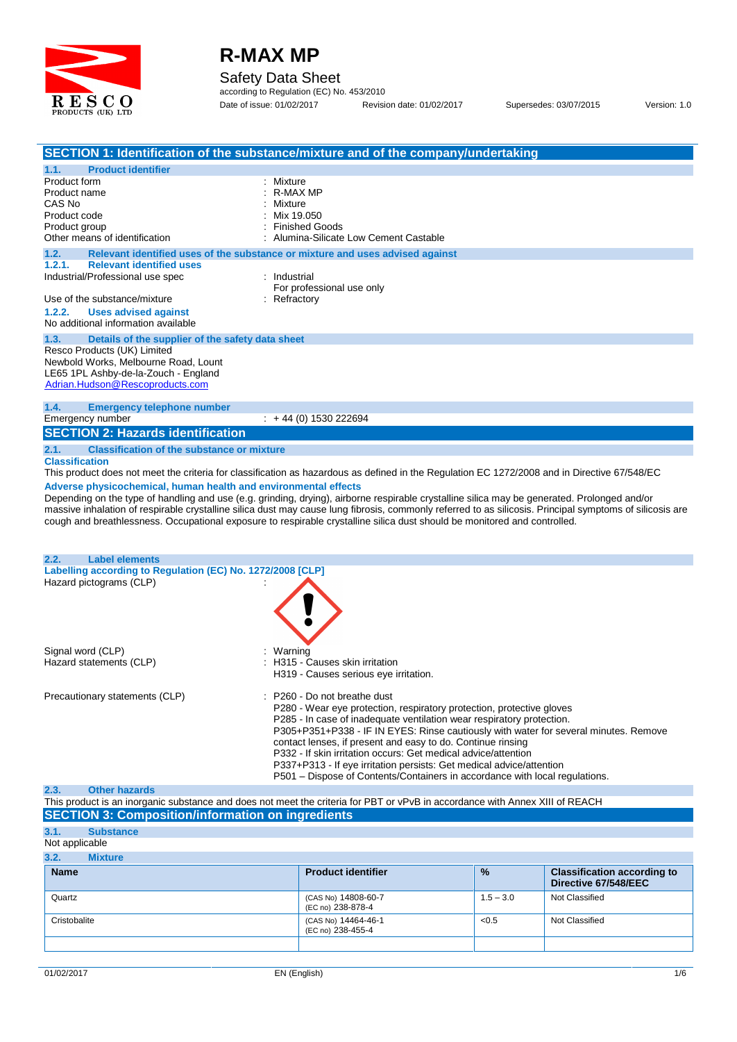

## Safety Data Sheet

according to Regulation (EC) No. 453/2010 Date of issue: 01/02/2017 Revision date: 01/02/2017 Supersedes: 03/07/2015 Version: 1.0

|                                                                                                                                                                                                     | SECTION 1: Identification of the substance/mixture and of the company/undertaking                                                                        |  |
|-----------------------------------------------------------------------------------------------------------------------------------------------------------------------------------------------------|----------------------------------------------------------------------------------------------------------------------------------------------------------|--|
| <b>Product identifier</b><br>1.1.                                                                                                                                                                   |                                                                                                                                                          |  |
| Product form                                                                                                                                                                                        | : Mixture                                                                                                                                                |  |
| Product name                                                                                                                                                                                        | R-MAX MP                                                                                                                                                 |  |
| CAS No                                                                                                                                                                                              | Mixture                                                                                                                                                  |  |
| Product code                                                                                                                                                                                        | Mix 19.050                                                                                                                                               |  |
| Product group                                                                                                                                                                                       | <b>Finished Goods</b>                                                                                                                                    |  |
| Other means of identification                                                                                                                                                                       | : Alumina-Silicate Low Cement Castable                                                                                                                   |  |
| 1.2.                                                                                                                                                                                                | Relevant identified uses of the substance or mixture and uses advised against                                                                            |  |
| <b>Relevant identified uses</b><br>1.2.1.                                                                                                                                                           |                                                                                                                                                          |  |
| Industrial/Professional use spec                                                                                                                                                                    | : Industrial                                                                                                                                             |  |
|                                                                                                                                                                                                     | For professional use only                                                                                                                                |  |
| Use of the substance/mixture                                                                                                                                                                        | : Refractory                                                                                                                                             |  |
| 1.2.2.<br><b>Uses advised against</b>                                                                                                                                                               |                                                                                                                                                          |  |
| No additional information available                                                                                                                                                                 |                                                                                                                                                          |  |
| 1.3.<br>Details of the supplier of the safety data sheet                                                                                                                                            |                                                                                                                                                          |  |
| Resco Products (UK) Limited                                                                                                                                                                         |                                                                                                                                                          |  |
| Newbold Works, Melbourne Road, Lount                                                                                                                                                                |                                                                                                                                                          |  |
| LE65 1PL Ashby-de-la-Zouch - England                                                                                                                                                                |                                                                                                                                                          |  |
| Adrian.Hudson@Rescoproducts.com                                                                                                                                                                     |                                                                                                                                                          |  |
|                                                                                                                                                                                                     |                                                                                                                                                          |  |
| 1.4.<br><b>Emergency telephone number</b>                                                                                                                                                           |                                                                                                                                                          |  |
| Emergency number                                                                                                                                                                                    | $\div$ +44 (0) 1530 222694                                                                                                                               |  |
|                                                                                                                                                                                                     |                                                                                                                                                          |  |
| <b>SECTION 2: Hazards identification</b>                                                                                                                                                            |                                                                                                                                                          |  |
| 2.1.<br><b>Classification of the substance or mixture</b>                                                                                                                                           |                                                                                                                                                          |  |
| <b>Classification</b>                                                                                                                                                                               |                                                                                                                                                          |  |
|                                                                                                                                                                                                     |                                                                                                                                                          |  |
|                                                                                                                                                                                                     |                                                                                                                                                          |  |
|                                                                                                                                                                                                     | This product does not meet the criteria for classification as hazardous as defined in the Regulation EC 1272/2008 and in Directive 67/548/EC             |  |
| Adverse physicochemical, human health and environmental effects                                                                                                                                     |                                                                                                                                                          |  |
|                                                                                                                                                                                                     | Depending on the type of handling and use (e.g. grinding, drying), airborne respirable crystalline silica may be generated. Prolonged and/or             |  |
|                                                                                                                                                                                                     | massive inhalation of respirable crystalline silica dust may cause lung fibrosis, commonly referred to as silicosis. Principal symptoms of silicosis are |  |
|                                                                                                                                                                                                     | cough and breathlessness. Occupational exposure to respirable crystalline silica dust should be monitored and controlled.                                |  |
|                                                                                                                                                                                                     |                                                                                                                                                          |  |
|                                                                                                                                                                                                     |                                                                                                                                                          |  |
| <b>Label elements</b>                                                                                                                                                                               |                                                                                                                                                          |  |
|                                                                                                                                                                                                     |                                                                                                                                                          |  |
| 2.2.<br>Labelling according to Regulation (EC) No. 1272/2008 [CLP]<br>Hazard pictograms (CLP)                                                                                                       |                                                                                                                                                          |  |
|                                                                                                                                                                                                     |                                                                                                                                                          |  |
|                                                                                                                                                                                                     |                                                                                                                                                          |  |
|                                                                                                                                                                                                     |                                                                                                                                                          |  |
|                                                                                                                                                                                                     |                                                                                                                                                          |  |
|                                                                                                                                                                                                     |                                                                                                                                                          |  |
|                                                                                                                                                                                                     | : Warning                                                                                                                                                |  |
|                                                                                                                                                                                                     | : H315 - Causes skin irritation                                                                                                                          |  |
|                                                                                                                                                                                                     | H319 - Causes serious eye irritation.                                                                                                                    |  |
|                                                                                                                                                                                                     |                                                                                                                                                          |  |
|                                                                                                                                                                                                     |                                                                                                                                                          |  |
|                                                                                                                                                                                                     | : P260 - Do not breathe dust                                                                                                                             |  |
|                                                                                                                                                                                                     | P280 - Wear eye protection, respiratory protection, protective gloves                                                                                    |  |
|                                                                                                                                                                                                     | P285 - In case of inadequate ventilation wear respiratory protection.                                                                                    |  |
|                                                                                                                                                                                                     | P305+P351+P338 - IF IN EYES: Rinse cautiously with water for several minutes. Remove                                                                     |  |
|                                                                                                                                                                                                     | contact lenses, if present and easy to do. Continue rinsing                                                                                              |  |
|                                                                                                                                                                                                     | P332 - If skin irritation occurs: Get medical advice/attention                                                                                           |  |
|                                                                                                                                                                                                     | P337+P313 - If eye irritation persists: Get medical advice/attention                                                                                     |  |
|                                                                                                                                                                                                     | P501 – Dispose of Contents/Containers in accordance with local regulations.                                                                              |  |
| <b>Other hazards</b>                                                                                                                                                                                |                                                                                                                                                          |  |
|                                                                                                                                                                                                     | This product is an inorganic substance and does not meet the criteria for PBT or vPvB in accordance with Annex XIII of REACH                             |  |
|                                                                                                                                                                                                     |                                                                                                                                                          |  |
|                                                                                                                                                                                                     |                                                                                                                                                          |  |
| <b>Substance</b>                                                                                                                                                                                    |                                                                                                                                                          |  |
|                                                                                                                                                                                                     |                                                                                                                                                          |  |
| <b>Mixture</b>                                                                                                                                                                                      |                                                                                                                                                          |  |
| Signal word (CLP)<br>Hazard statements (CLP)<br>Precautionary statements (CLP)<br>2.3.<br><b>SECTION 3: Composition/information on ingredients</b><br>3.1.<br>Not applicable<br>3.2.<br><b>Name</b> | <b>Product identifier</b><br>%<br><b>Classification according to</b>                                                                                     |  |

(EC no) 238-878-4

Cristobalite (CAS No) 14464-46-1 (EC no) 238-455-4 <0.5 Not Classified

Quartz (CAS No) 14808-60-7

 $1.5 - 3.0$  Not Classified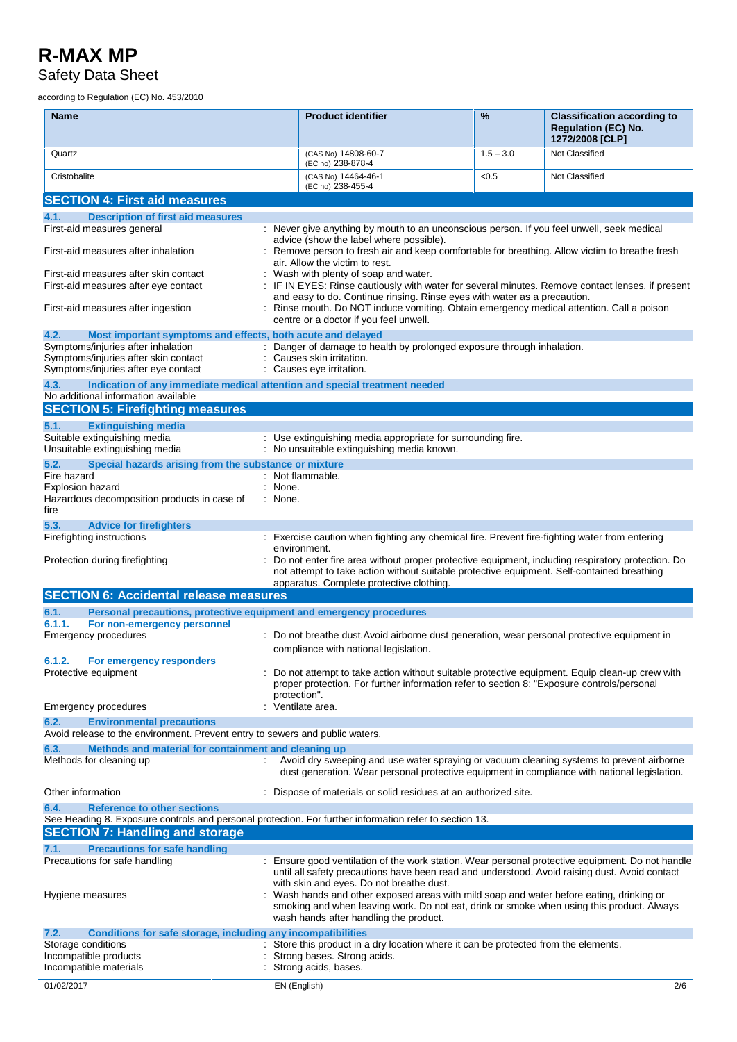## Safety Data Sheet

according to Regulation (EC) No. 453/2010

| Name                                                                                                                                                 | <b>Product identifier</b>                                                                                                                                                                                                                    | %           | <b>Classification according to</b><br><b>Regulation (EC) No.</b><br>1272/2008 [CLP] |
|------------------------------------------------------------------------------------------------------------------------------------------------------|----------------------------------------------------------------------------------------------------------------------------------------------------------------------------------------------------------------------------------------------|-------------|-------------------------------------------------------------------------------------|
| Quartz                                                                                                                                               | (CAS No) 14808-60-7                                                                                                                                                                                                                          | $1.5 - 3.0$ | Not Classified                                                                      |
| Cristobalite                                                                                                                                         | (EC no) 238-878-4<br>(CAS No) 14464-46-1                                                                                                                                                                                                     | <0.5        | Not Classified                                                                      |
| <b>SECTION 4: First aid measures</b>                                                                                                                 | (EC no) 238-455-4                                                                                                                                                                                                                            |             |                                                                                     |
| 4.1.<br><b>Description of first aid measures</b>                                                                                                     |                                                                                                                                                                                                                                              |             |                                                                                     |
| First-aid measures general                                                                                                                           | : Never give anything by mouth to an unconscious person. If you feel unwell, seek medical<br>advice (show the label where possible).                                                                                                         |             |                                                                                     |
| First-aid measures after inhalation                                                                                                                  | : Remove person to fresh air and keep comfortable for breathing. Allow victim to breathe fresh<br>air. Allow the victim to rest.                                                                                                             |             |                                                                                     |
| First-aid measures after skin contact<br>First-aid measures after eye contact                                                                        | : Wash with plenty of soap and water.<br>: IF IN EYES: Rinse cautiously with water for several minutes. Remove contact lenses, if present                                                                                                    |             |                                                                                     |
| First-aid measures after ingestion                                                                                                                   | and easy to do. Continue rinsing. Rinse eyes with water as a precaution.<br>: Rinse mouth. Do NOT induce vomiting. Obtain emergency medical attention. Call a poison<br>centre or a doctor if you feel unwell.                               |             |                                                                                     |
| Most important symptoms and effects, both acute and delayed<br>4.2.                                                                                  |                                                                                                                                                                                                                                              |             |                                                                                     |
| Symptoms/injuries after inhalation<br>Symptoms/injuries after skin contact<br>Symptoms/injuries after eye contact                                    | : Danger of damage to health by prolonged exposure through inhalation.<br>: Causes skin irritation.<br>: Causes eye irritation.                                                                                                              |             |                                                                                     |
| 4.3.                                                                                                                                                 | Indication of any immediate medical attention and special treatment needed                                                                                                                                                                   |             |                                                                                     |
| No additional information available<br><b>SECTION 5: Firefighting measures</b>                                                                       |                                                                                                                                                                                                                                              |             |                                                                                     |
| 5.1.<br><b>Extinguishing media</b>                                                                                                                   |                                                                                                                                                                                                                                              |             |                                                                                     |
| Suitable extinguishing media<br>Unsuitable extinguishing media                                                                                       | : Use extinguishing media appropriate for surrounding fire.<br>: No unsuitable extinguishing media known.                                                                                                                                    |             |                                                                                     |
| 5.2.<br>Special hazards arising from the substance or mixture                                                                                        |                                                                                                                                                                                                                                              |             |                                                                                     |
| Fire hazard<br>Explosion hazard                                                                                                                      | : Not flammable.<br>: None.                                                                                                                                                                                                                  |             |                                                                                     |
| Hazardous decomposition products in case of<br>fire                                                                                                  | : None.                                                                                                                                                                                                                                      |             |                                                                                     |
| 5.3.<br><b>Advice for firefighters</b>                                                                                                               |                                                                                                                                                                                                                                              |             |                                                                                     |
| Firefighting instructions                                                                                                                            | : Exercise caution when fighting any chemical fire. Prevent fire-fighting water from entering<br>environment.                                                                                                                                |             |                                                                                     |
| Protection during firefighting                                                                                                                       | : Do not enter fire area without proper protective equipment, including respiratory protection. Do<br>not attempt to take action without suitable protective equipment. Self-contained breathing<br>apparatus. Complete protective clothing. |             |                                                                                     |
| <b>SECTION 6: Accidental release measures</b>                                                                                                        |                                                                                                                                                                                                                                              |             |                                                                                     |
| 6.1.<br>Personal precautions, protective equipment and emergency procedures                                                                          |                                                                                                                                                                                                                                              |             |                                                                                     |
| 6.1.1.<br>For non-emergency personnel<br><b>Emergency procedures</b>                                                                                 | : Do not breathe dust. Avoid airborne dust generation, wear personal protective equipment in                                                                                                                                                 |             |                                                                                     |
|                                                                                                                                                      | compliance with national legislation.                                                                                                                                                                                                        |             |                                                                                     |
| 6.1.2.<br>For emergency responders                                                                                                                   |                                                                                                                                                                                                                                              |             |                                                                                     |
| Protective equipment                                                                                                                                 | : Do not attempt to take action without suitable protective equipment. Equip clean-up crew with<br>proper protection. For further information refer to section 8: "Exposure controls/personal<br>protection".                                |             |                                                                                     |
| <b>Emergency procedures</b>                                                                                                                          | : Ventilate area.                                                                                                                                                                                                                            |             |                                                                                     |
| <b>Environmental precautions</b><br>6.2.                                                                                                             |                                                                                                                                                                                                                                              |             |                                                                                     |
| Avoid release to the environment. Prevent entry to sewers and public waters.                                                                         |                                                                                                                                                                                                                                              |             |                                                                                     |
| Methods and material for containment and cleaning up<br>6.3.<br>Methods for cleaning up                                                              | Avoid dry sweeping and use water spraying or vacuum cleaning systems to prevent airborne<br>$\mathcal{L}_{\rm{max}}$<br>dust generation. Wear personal protective equipment in compliance with national legislation.                         |             |                                                                                     |
| Other information                                                                                                                                    | : Dispose of materials or solid residues at an authorized site.                                                                                                                                                                              |             |                                                                                     |
| <b>Reference to other sections</b><br>6.4.<br>See Heading 8. Exposure controls and personal protection. For further information refer to section 13. |                                                                                                                                                                                                                                              |             |                                                                                     |
| <b>SECTION 7: Handling and storage</b>                                                                                                               |                                                                                                                                                                                                                                              |             |                                                                                     |
| <b>Precautions for safe handling</b><br>7.1.<br>Precautions for safe handling                                                                        | : Ensure good ventilation of the work station. Wear personal protective equipment. Do not handle                                                                                                                                             |             |                                                                                     |
|                                                                                                                                                      | until all safety precautions have been read and understood. Avoid raising dust. Avoid contact<br>with skin and eyes. Do not breathe dust.                                                                                                    |             |                                                                                     |
| Hygiene measures                                                                                                                                     | Wash hands and other exposed areas with mild soap and water before eating, drinking or<br>smoking and when leaving work. Do not eat, drink or smoke when using this product. Always<br>wash hands after handling the product.                |             |                                                                                     |
| Conditions for safe storage, including any incompatibilities<br>7.2.                                                                                 |                                                                                                                                                                                                                                              |             |                                                                                     |
| Storage conditions<br>Incompatible products<br>Incompatible materials                                                                                | Store this product in a dry location where it can be protected from the elements.<br>Strong bases. Strong acids.<br>Strong acids, bases.                                                                                                     |             |                                                                                     |
| 01/02/2017                                                                                                                                           | EN (English)                                                                                                                                                                                                                                 |             | 2/6                                                                                 |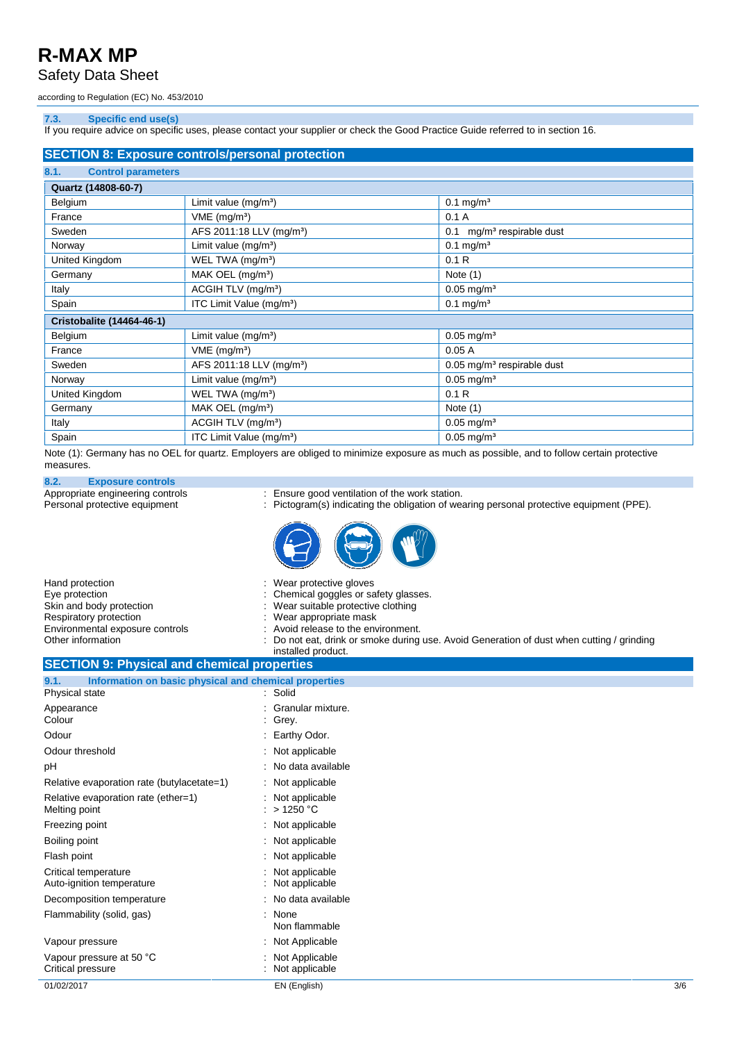## Safety Data Sheet

according to Regulation (EC) No. 453/2010

### **7.3. Specific end use(s)**

If you require advice on specific uses, please contact your supplier or check the Good Practice Guide referred to in section 16.

| <b>SECTION 8: Exposure controls/personal protection</b> |                                      |                                          |  |
|---------------------------------------------------------|--------------------------------------|------------------------------------------|--|
| <b>Control parameters</b><br>8.1.                       |                                      |                                          |  |
| Quartz (14808-60-7)                                     |                                      |                                          |  |
| Belgium                                                 | Limit value $(mg/m3)$                | $0.1 \,\mathrm{mg/m^3}$                  |  |
| France                                                  | $VME$ (mg/m <sup>3</sup> )           | 0.1A                                     |  |
| Sweden                                                  | AFS 2011:18 LLV (mg/m <sup>3</sup> ) | mg/m <sup>3</sup> respirable dust<br>0.1 |  |
| Norway                                                  | Limit value (mg/m <sup>3</sup> )     | $0.1$ mg/m <sup>3</sup>                  |  |
| United Kingdom                                          | WEL TWA (mg/m <sup>3</sup> )         | 0.1R                                     |  |
| Germany                                                 | MAK OEL (mg/m <sup>3</sup> )         | Note $(1)$                               |  |
| Italy                                                   | ACGIH TLV (mg/m <sup>3</sup> )       | $0.05$ mg/m <sup>3</sup>                 |  |
| Spain                                                   | ITC Limit Value (mg/m <sup>3</sup> ) | $0.1 \,\mathrm{mg/m^3}$                  |  |
| <b>Cristobalite (14464-46-1)</b>                        |                                      |                                          |  |
| Belgium                                                 | Limit value (mg/m <sup>3</sup> )     | $0.05$ mg/m <sup>3</sup>                 |  |
| France                                                  | $VME$ (mg/m <sup>3</sup> )           | 0.05A                                    |  |
| Sweden                                                  | AFS 2011:18 LLV (mg/m <sup>3</sup> ) | 0.05 mg/m <sup>3</sup> respirable dust   |  |
| Norway                                                  | Limit value $(mg/m3)$                | $0.05$ mg/m <sup>3</sup>                 |  |
| United Kingdom                                          | WEL TWA (mg/m <sup>3</sup> )         | 0.1R                                     |  |
| Germany                                                 | MAK OEL (mg/m <sup>3</sup> )         | Note $(1)$                               |  |
| Italy                                                   | ACGIH TLV (mg/m <sup>3</sup> )       | $0.05 \,\mathrm{mg/m^3}$                 |  |
| Spain                                                   | ITC Limit Value (mg/m <sup>3</sup> ) | $0.05 \text{ mg/m}^3$                    |  |

Note (1): Germany has no OEL for quartz. Employers are obliged to minimize exposure as much as possible, and to follow certain protective measures.

**8.2. Exposure controls**

Appropriate engineering controls : Ensure good ventilation of the work station.

Personal protective equipment : Pictogram(s) indicating the obligation of wearing personal protective equipment (PPE).



| : Wear protective gloves<br>: Chemical goggles or safety glasses.<br>: Wear suitable protective clothing<br>: Wear appropriate mask<br>: Avoid release to the environment.<br>: Do not eat, drink or smoke during use. Avoid Generation of dust when cutting / grinding<br>installed product. |
|-----------------------------------------------------------------------------------------------------------------------------------------------------------------------------------------------------------------------------------------------------------------------------------------------|
| <b>OF OTIONIA IN INSTRUMENT OF A STATE OF A STATE OF A STATE OF A STATE OF A STATE OF A STATE OF A STATE OF A ST</b>                                                                                                                                                                          |
|                                                                                                                                                                                                                                                                                               |

### **SECTION 9: Physical and chemical properties 9.1. Information on basic physical and chemical properties**

| 01/02/2017                                                    | EN (English)                         | 3/6 |
|---------------------------------------------------------------|--------------------------------------|-----|
| Vapour pressure at 50 °C<br>Critical pressure                 | : Not Applicable<br>: Not applicable |     |
| Vapour pressure                                               | : Not Applicable                     |     |
| Flammability (solid, gas)                                     | None<br>۰<br>Non flammable           |     |
| Decomposition temperature                                     | : No data available                  |     |
| Critical temperature<br>Auto-ignition temperature             | Not applicable<br>: Not applicable   |     |
| Flash point                                                   | : Not applicable                     |     |
| Boiling point                                                 | : Not applicable                     |     |
| Freezing point                                                | : Not applicable                     |     |
| Relative evaporation rate (ether=1)<br>Melting point          | : Not applicable<br>: $>1250$ °C     |     |
| Relative evaporation rate (butylacetate=1)                    | : Not applicable                     |     |
| рH                                                            | : No data available                  |     |
| Odour threshold                                               | : Not applicable                     |     |
| Odour                                                         | : Earthy Odor.                       |     |
| Appearance<br>Colour                                          | Granular mixture.<br>: Grey.         |     |
| Physical state                                                | : Solid                              |     |
| 9.1.<br>Information on basic physical and chemical properties |                                      |     |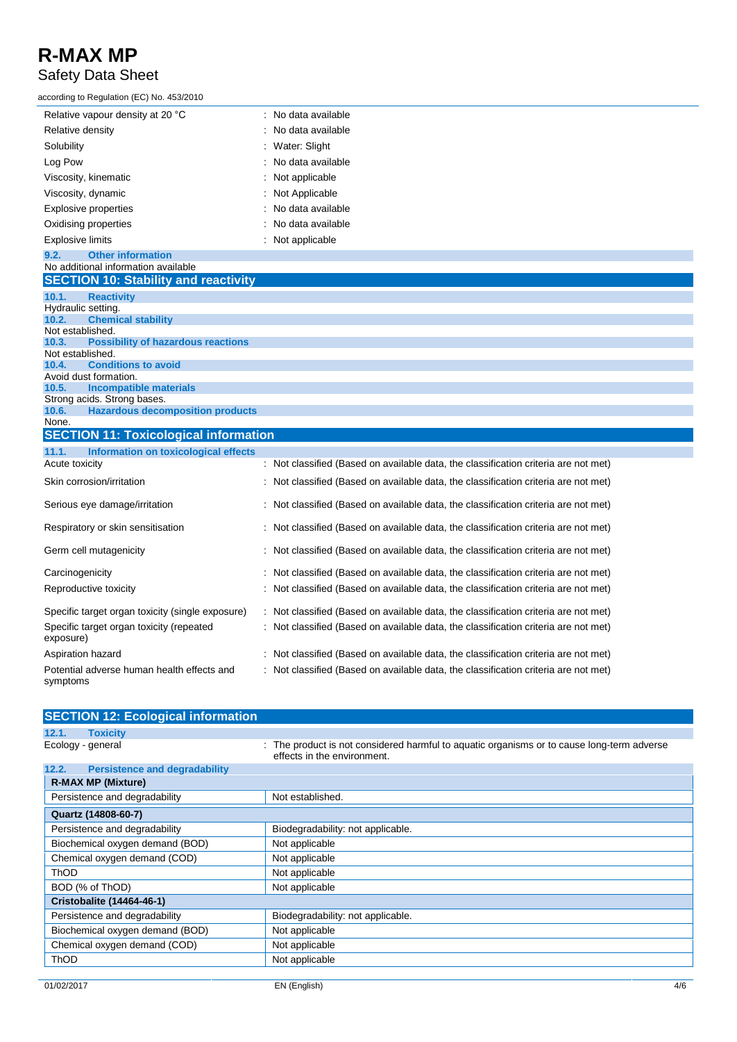## Safety Data Sheet

| according to Regulation (EC) No. 453/2010 |                                |  |  |
|-------------------------------------------|--------------------------------|--|--|
| Relative vapour density at 20 °C          | : No data available            |  |  |
| Relative density                          | : No data available            |  |  |
| Solubility                                | : Water: Slight                |  |  |
| Log Pow                                   | : No data available            |  |  |
| Viscosity, kinematic                      | : Not applicable               |  |  |
| Viscosity, dynamic                        | : Not Applicable               |  |  |
| Explosive properties                      | : No data available            |  |  |
| Oxidising properties                      | $\therefore$ No data available |  |  |
| Explosive limits                          | Not applicable                 |  |  |

### **9.2. Other information** No additional information available

| <b>SECTION 10: Stability and reactivity</b>        |                                                                                     |
|----------------------------------------------------|-------------------------------------------------------------------------------------|
| 10.1.<br><b>Reactivity</b>                         |                                                                                     |
| Hydraulic setting.                                 |                                                                                     |
| 10.2.<br><b>Chemical stability</b>                 |                                                                                     |
| Not established.                                   |                                                                                     |
| <b>Possibility of hazardous reactions</b><br>10.3. |                                                                                     |
| Not established.                                   |                                                                                     |
| 10.4.<br><b>Conditions to avoid</b>                |                                                                                     |
| Avoid dust formation.                              |                                                                                     |
| 10.5.<br><b>Incompatible materials</b>             |                                                                                     |
| Strong acids. Strong bases.                        |                                                                                     |
| <b>Hazardous decomposition products</b><br>10.6.   |                                                                                     |
| None.                                              |                                                                                     |
| <b>SECTION 11: Toxicological information</b>       |                                                                                     |
| 11.1.<br>Information on toxicological effects      |                                                                                     |
| Acute toxicity                                     | : Not classified (Based on available data, the classification criteria are not met) |
| Skin corrosion/irritation                          | Not classified (Based on available data, the classification criteria are not met)   |
| Serious eye damage/irritation                      | Not classified (Based on available data, the classification criteria are not met)   |
| Respiratory or skin sensitisation                  | Not classified (Based on available data, the classification criteria are not met)   |
| Germ cell mutagenicity                             | Not classified (Based on available data, the classification criteria are not met)   |
| Carcinogenicity                                    | Not classified (Based on available data, the classification criteria are not met)   |
| Reproductive toxicity                              | Not classified (Based on available data, the classification criteria are not met)   |
| Specific target organ toxicity (single exposure)   | Not classified (Based on available data, the classification criteria are not met)   |

| Specific target organ toxicity (repeated<br>exposure)  | : Not classified (Based on available data, the classification criteria are not met) |
|--------------------------------------------------------|-------------------------------------------------------------------------------------|
| Aspiration hazard                                      | : Not classified (Based on available data, the classification criteria are not met) |
| Potential adverse human health effects and<br>symptoms | : Not classified (Based on available data, the classification criteria are not met) |

| : The product is not considered harmful to aguatic organisms or to cause long-term adverse<br>effects in the environment. |
|---------------------------------------------------------------------------------------------------------------------------|
|                                                                                                                           |
|                                                                                                                           |
| Not established.                                                                                                          |
|                                                                                                                           |
| Biodegradability: not applicable.                                                                                         |
| Not applicable                                                                                                            |
| Not applicable                                                                                                            |
| Not applicable                                                                                                            |
| Not applicable                                                                                                            |
|                                                                                                                           |
| Biodegradability: not applicable.                                                                                         |
| Not applicable                                                                                                            |
| Not applicable                                                                                                            |
| Not applicable                                                                                                            |
|                                                                                                                           |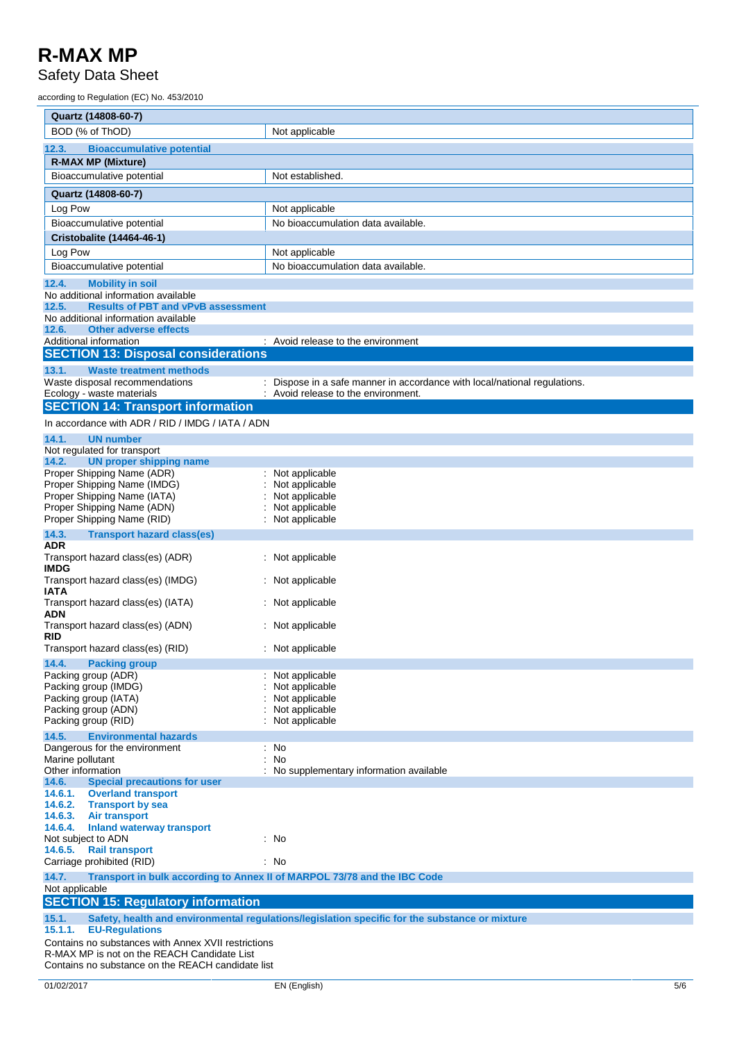Safety Data Sheet

according to Regulation (EC) No. 453/2010

| Quartz (14808-60-7)                                                                                 |                                                                                                |
|-----------------------------------------------------------------------------------------------------|------------------------------------------------------------------------------------------------|
| BOD (% of ThOD)                                                                                     | Not applicable                                                                                 |
| <b>Bioaccumulative potential</b><br>12.3.                                                           |                                                                                                |
| <b>R-MAX MP (Mixture)</b>                                                                           |                                                                                                |
| Bioaccumulative potential                                                                           | Not established.                                                                               |
| Quartz (14808-60-7)                                                                                 |                                                                                                |
| Log Pow                                                                                             | Not applicable                                                                                 |
| Bioaccumulative potential                                                                           | No bioaccumulation data available.                                                             |
| <b>Cristobalite (14464-46-1)</b>                                                                    |                                                                                                |
| Log Pow                                                                                             | Not applicable                                                                                 |
| Bioaccumulative potential                                                                           | No bioaccumulation data available.                                                             |
|                                                                                                     |                                                                                                |
| 12.4.<br><b>Mobility in soil</b><br>No additional information available                             |                                                                                                |
| <b>Results of PBT and vPvB assessment</b><br>12.5.                                                  |                                                                                                |
| No additional information available                                                                 |                                                                                                |
| <b>Other adverse effects</b><br>12.6.                                                               |                                                                                                |
| Additional information<br><b>SECTION 13: Disposal considerations</b>                                | : Avoid release to the environment                                                             |
|                                                                                                     |                                                                                                |
| 13.1.<br><b>Waste treatment methods</b><br>Waste disposal recommendations                           | Dispose in a safe manner in accordance with local/national regulations.                        |
| Ecology - waste materials                                                                           | Avoid release to the environment.                                                              |
| <b>SECTION 14: Transport information</b>                                                            |                                                                                                |
| In accordance with ADR / RID / IMDG / IATA / ADN                                                    |                                                                                                |
| <b>UN number</b><br>14.1.                                                                           |                                                                                                |
| Not regulated for transport                                                                         |                                                                                                |
| 14.2.<br><b>UN proper shipping name</b>                                                             |                                                                                                |
| Proper Shipping Name (ADR)<br>Proper Shipping Name (IMDG)                                           | Not applicable<br>Not applicable                                                               |
| Proper Shipping Name (IATA)                                                                         | Not applicable                                                                                 |
| Proper Shipping Name (ADN)                                                                          | Not applicable                                                                                 |
| Proper Shipping Name (RID)                                                                          | Not applicable                                                                                 |
| 14.3.<br><b>Transport hazard class(es)</b>                                                          |                                                                                                |
| ADR<br>Transport hazard class(es) (ADR)                                                             | Not applicable                                                                                 |
| <b>IMDG</b>                                                                                         |                                                                                                |
| Transport hazard class(es) (IMDG)                                                                   | Not applicable                                                                                 |
| <b>IATA</b>                                                                                         |                                                                                                |
| Transport hazard class(es) (IATA)<br>ADN                                                            | Not applicable                                                                                 |
| Transport hazard class(es) (ADN)                                                                    | Not applicable                                                                                 |
| RID                                                                                                 |                                                                                                |
| Transport hazard class(es) (RID)                                                                    | : Not applicable                                                                               |
| 14.4. Packing group<br>Packing group (ADR)                                                          |                                                                                                |
| Packing group (IMDG)                                                                                | Not applicable<br>Not applicable                                                               |
| Packing group (IATA)                                                                                | Not applicable                                                                                 |
| Packing group (ADN)                                                                                 | Not applicable                                                                                 |
| Packing group (RID)                                                                                 | Not applicable                                                                                 |
| 14.5.<br><b>Environmental hazards</b>                                                               |                                                                                                |
| Dangerous for the environment<br>Marine pollutant                                                   | $:$ No<br>No                                                                                   |
| Other information                                                                                   | No supplementary information available                                                         |
| <b>Special precautions for user</b><br>14.6.                                                        |                                                                                                |
| 14.6.1.<br><b>Overland transport</b>                                                                |                                                                                                |
| 14.6.2.<br><b>Transport by sea</b><br>14.6.3.<br>Air transport                                      |                                                                                                |
| 14.6.4.<br><b>Inland waterway transport</b>                                                         |                                                                                                |
| Not subject to ADN                                                                                  | : No                                                                                           |
| 14.6.5.<br><b>Rail transport</b><br>Carriage prohibited (RID)                                       | : No                                                                                           |
|                                                                                                     |                                                                                                |
| 14.7.<br>Transport in bulk according to Annex II of MARPOL 73/78 and the IBC Code<br>Not applicable |                                                                                                |
| <b>SECTION 15: Regulatory information</b>                                                           |                                                                                                |
| 15.1.                                                                                               | Safety, health and environmental regulations/legislation specific for the substance or mixture |
| 15.1.1.<br><b>EU-Regulations</b>                                                                    |                                                                                                |
| Contains no substances with Annex XVII restrictions                                                 |                                                                                                |
| D. MAY MD is not on the BEACH Condidate List                                                        |                                                                                                |

R-MAX MP is not on the REACH Candidate List Contains no substance on the REACH candidate list